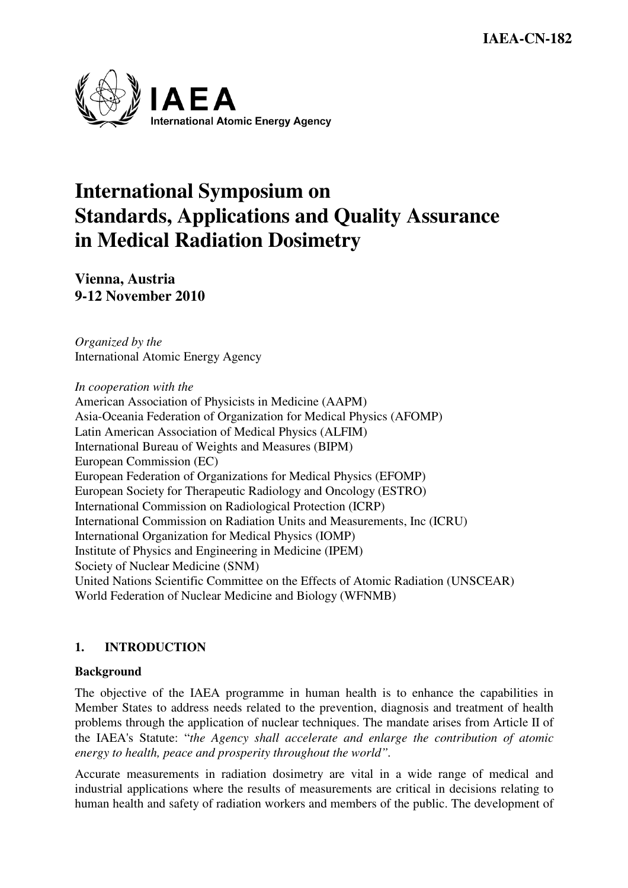

# **International Symposium on Standards, Applications and Quality Assurance in Medical Radiation Dosimetry**

**Vienna, Austria 9-12 November 2010** 

*Organized by the*  International Atomic Energy Agency

*In cooperation with the*  American Association of Physicists in Medicine (AAPM) Asia-Oceania Federation of Organization for Medical Physics (AFOMP) Latin American Association of Medical Physics (ALFIM) International Bureau of Weights and Measures (BIPM) European Commission (EC) European Federation of Organizations for Medical Physics (EFOMP) European Society for Therapeutic Radiology and Oncology (ESTRO) International Commission on Radiological Protection (ICRP) International Commission on Radiation Units and Measurements, Inc (ICRU) International Organization for Medical Physics (IOMP) Institute of Physics and Engineering in Medicine (IPEM) Society of Nuclear Medicine (SNM) United Nations Scientific Committee on the Effects of Atomic Radiation (UNSCEAR) World Federation of Nuclear Medicine and Biology (WFNMB)

## **1. INTRODUCTION**

#### **Background**

The objective of the IAEA programme in human health is to enhance the capabilities in Member States to address needs related to the prevention, diagnosis and treatment of health problems through the application of nuclear techniques. The mandate arises from Article II of the IAEA's Statute: "*the Agency shall accelerate and enlarge the contribution of atomic energy to health, peace and prosperity throughout the world".*

Accurate measurements in radiation dosimetry are vital in a wide range of medical and industrial applications where the results of measurements are critical in decisions relating to human health and safety of radiation workers and members of the public. The development of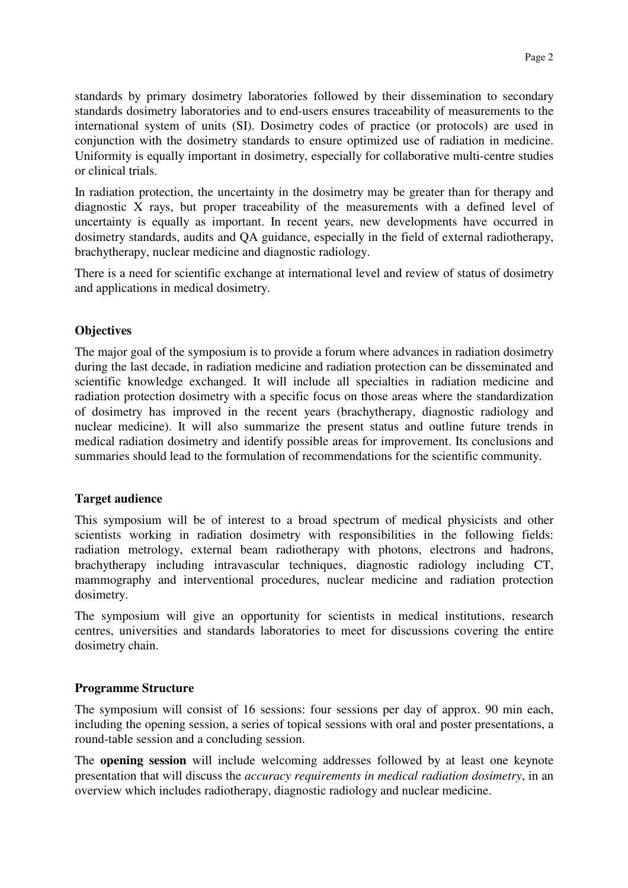standards by primary dosimetry laboratories followed by their dissemination to secondary standards dosimetry laboratories and to end-users ensures traceability of measurements to the international system of units (SI). Dosimetry codes of practice (or protocols) are used in conjunction with the dosimetry standards to ensure optimized use of radiation in medicine. Uniformity is equally important in dosimetry, especially for collaborative multi-centre studies or clinical trials.

In radiation protection, the uncertainty in the dosimetry may be greater than for therapy and diagnostic X rays, but proper traceability of the measurements with a defined level of uncertainty is equally as important. In recent years, new developments have occurred in dosimetry standards, audits and QA guidance, especially in the field of external radiotherapy, brachytherapy, nuclear medicine and diagnostic radiology.

There is a need for scientific exchange at international level and review of status of dosimetry and applications in medical dosimetry.

#### **Objectives**

The major goal of the symposium is to provide a forum where advances in radiation dosimetry during the last decade, in radiation medicine and radiation protection can be disseminated and scientific knowledge exchanged. It will include all specialties in radiation medicine and radiation protection dosimetry with a specific focus on those areas where the standardization of dosimetry has improved in the recent years (brachytherapy, diagnostic radiology and nuclear medicine). It will also summarize the present status and outline future trends in medical radiation dosimetry and identify possible areas for improvement. Its conclusions and summaries should lead to the formulation of recommendations for the scientific community.

#### **Target audience**

This symposium will be of interest to a broad spectrum of medical physicists and other scientists working in radiation dosimetry with responsibilities in the following fields: radiation metrology, external beam radiotherapy with photons, electrons and hadrons, brachytherapy including intravascular techniques, diagnostic radiology including CT, mammography and interventional procedures, nuclear medicine and radiation protection dosimetry.

The symposium will give an opportunity for scientists in medical institutions, research centres, universities and standards laboratories to meet for discussions covering the entire dosimetry chain.

#### **Programme Structure**

The symposium will consist of 16 sessions: four sessions per day of approx. 90 min each, including the opening session, a series of topical sessions with oral and poster presentations, a round-table session and a concluding session.

The **opening session** will include welcoming addresses followed by at least one keynote presentation that will discuss the *accuracy requirements in medical radiation dosimetry*, in an overview which includes radiotherapy, diagnostic radiology and nuclear medicine.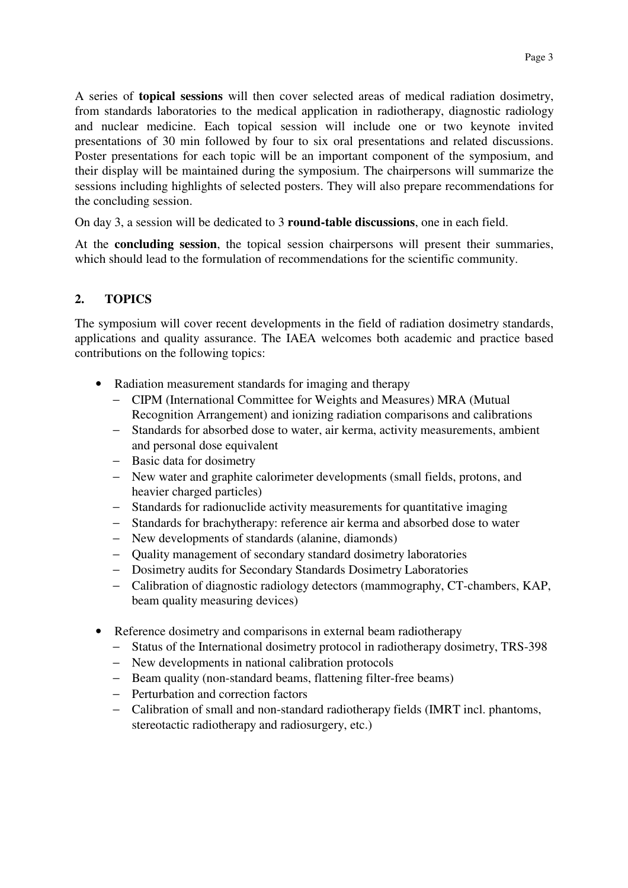A series of **topical sessions** will then cover selected areas of medical radiation dosimetry, from standards laboratories to the medical application in radiotherapy, diagnostic radiology and nuclear medicine. Each topical session will include one or two keynote invited presentations of 30 min followed by four to six oral presentations and related discussions. Poster presentations for each topic will be an important component of the symposium, and their display will be maintained during the symposium. The chairpersons will summarize the sessions including highlights of selected posters. They will also prepare recommendations for the concluding session.

On day 3, a session will be dedicated to 3 **round-table discussions**, one in each field.

At the **concluding session**, the topical session chairpersons will present their summaries, which should lead to the formulation of recommendations for the scientific community.

## **2. TOPICS**

The symposium will cover recent developments in the field of radiation dosimetry standards, applications and quality assurance. The IAEA welcomes both academic and practice based contributions on the following topics:

- Radiation measurement standards for imaging and therapy
	- − CIPM (International Committee for Weights and Measures) MRA (Mutual Recognition Arrangement) and ionizing radiation comparisons and calibrations
	- − Standards for absorbed dose to water, air kerma, activity measurements, ambient and personal dose equivalent
	- − Basic data for dosimetry
	- − New water and graphite calorimeter developments (small fields, protons, and heavier charged particles)
	- − Standards for radionuclide activity measurements for quantitative imaging
	- − Standards for brachytherapy: reference air kerma and absorbed dose to water
	- − New developments of standards (alanine, diamonds)
	- − Quality management of secondary standard dosimetry laboratories
	- − Dosimetry audits for Secondary Standards Dosimetry Laboratories
	- − Calibration of diagnostic radiology detectors (mammography, CT-chambers, KAP, beam quality measuring devices)
- Reference dosimetry and comparisons in external beam radiotherapy
	- − Status of the International dosimetry protocol in radiotherapy dosimetry, TRS-398
	- − New developments in national calibration protocols
	- − Beam quality (non-standard beams, flattening filter-free beams)
	- − Perturbation and correction factors
	- − Calibration of small and non-standard radiotherapy fields (IMRT incl. phantoms, stereotactic radiotherapy and radiosurgery, etc.)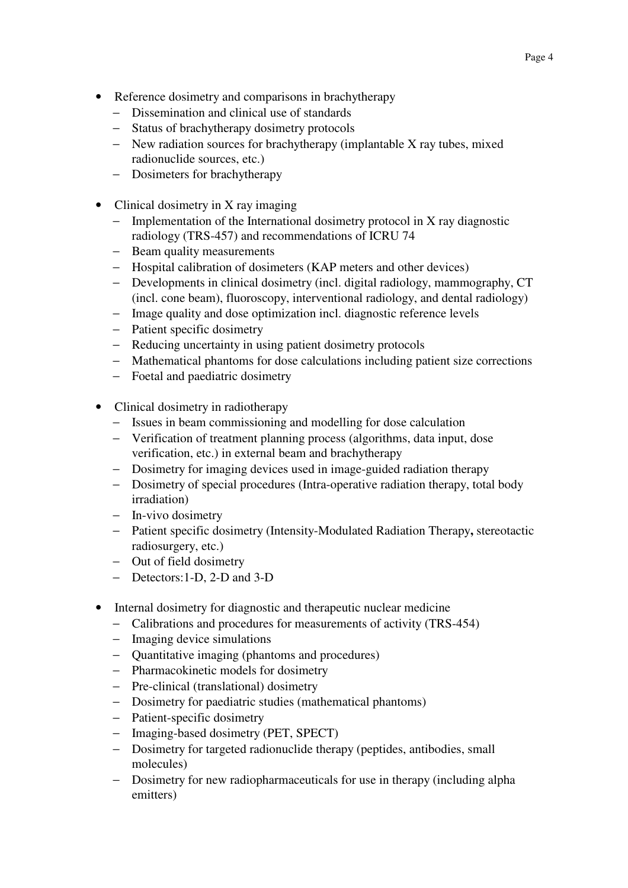- Reference dosimetry and comparisons in brachytherapy
	- − Dissemination and clinical use of standards
	- − Status of brachytherapy dosimetry protocols
	- − New radiation sources for brachytherapy (implantable X ray tubes, mixed radionuclide sources, etc.)
	- − Dosimeters for brachytherapy
- Clinical dosimetry in X ray imaging
	- − Implementation of the International dosimetry protocol in X ray diagnostic radiology (TRS-457) and recommendations of ICRU 74
	- − Beam quality measurements
	- − Hospital calibration of dosimeters (KAP meters and other devices)
	- − Developments in clinical dosimetry (incl. digital radiology, mammography, CT (incl. cone beam), fluoroscopy, interventional radiology, and dental radiology)
	- − Image quality and dose optimization incl. diagnostic reference levels
	- − Patient specific dosimetry
	- − Reducing uncertainty in using patient dosimetry protocols
	- − Mathematical phantoms for dose calculations including patient size corrections
	- − Foetal and paediatric dosimetry
- Clinical dosimetry in radiotherapy
	- − Issues in beam commissioning and modelling for dose calculation
	- − Verification of treatment planning process (algorithms, data input, dose verification, etc.) in external beam and brachytherapy
	- − Dosimetry for imaging devices used in image-guided radiation therapy
	- − Dosimetry of special procedures (Intra-operative radiation therapy, total body irradiation)
	- − In-vivo dosimetry
	- − Patient specific dosimetry (Intensity-Modulated Radiation Therapy**,** stereotactic radiosurgery, etc.)
	- − Out of field dosimetry
	- − Detectors:1-D, 2-D and 3-D
- Internal dosimetry for diagnostic and therapeutic nuclear medicine
	- − Calibrations and procedures for measurements of activity (TRS-454)
	- − Imaging device simulations
	- − Quantitative imaging (phantoms and procedures)
	- − Pharmacokinetic models for dosimetry
	- − Pre-clinical (translational) dosimetry
	- − Dosimetry for paediatric studies (mathematical phantoms)
	- − Patient-specific dosimetry
	- − Imaging-based dosimetry (PET, SPECT)
	- − Dosimetry for targeted radionuclide therapy (peptides, antibodies, small molecules)
	- − Dosimetry for new radiopharmaceuticals for use in therapy (including alpha emitters)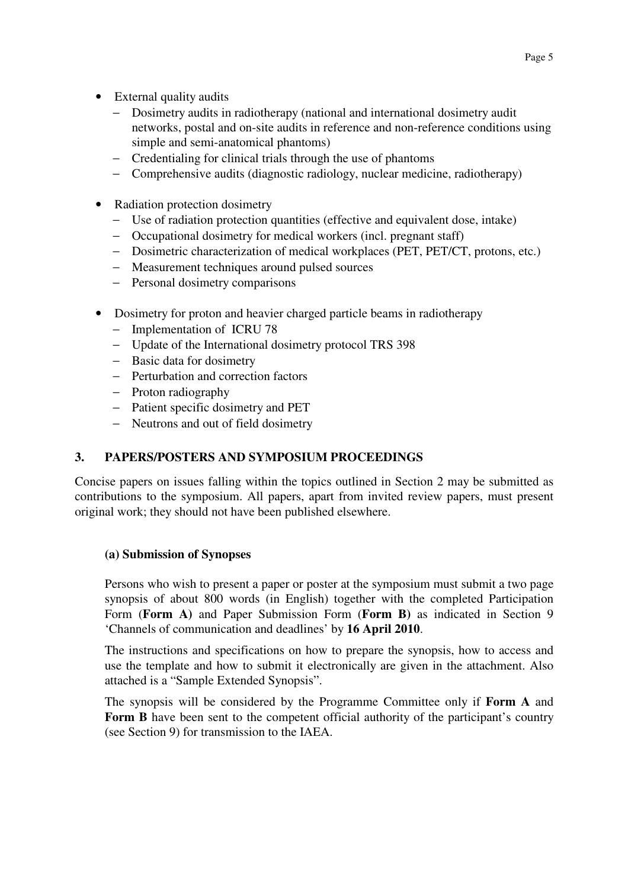- External quality audits
	- Dosimetry audits in radiotherapy (national and international dosimetry audit networks, postal and on-site audits in reference and non-reference conditions using simple and semi-anatomical phantoms)
	- − Credentialing for clinical trials through the use of phantoms
	- − Comprehensive audits (diagnostic radiology, nuclear medicine, radiotherapy)
- Radiation protection dosimetry
	- − Use of radiation protection quantities (effective and equivalent dose, intake)
	- − Occupational dosimetry for medical workers (incl. pregnant staff)
	- − Dosimetric characterization of medical workplaces (PET, PET/CT, protons, etc.)
	- − Measurement techniques around pulsed sources
	- − Personal dosimetry comparisons
- Dosimetry for proton and heavier charged particle beams in radiotherapy
	- − Implementation of ICRU 78
	- − Update of the International dosimetry protocol TRS 398
	- − Basic data for dosimetry
	- − Perturbation and correction factors
	- − Proton radiography
	- − Patient specific dosimetry and PET
	- − Neutrons and out of field dosimetry

## **3. PAPERS/POSTERS AND SYMPOSIUM PROCEEDINGS**

Concise papers on issues falling within the topics outlined in Section 2 may be submitted as contributions to the symposium. All papers, apart from invited review papers, must present original work; they should not have been published elsewhere.

#### **(a) Submission of Synopses**

Persons who wish to present a paper or poster at the symposium must submit a two page synopsis of about 800 words (in English) together with the completed Participation Form (**Form A)** and Paper Submission Form (**Form B)** as indicated in Section 9 'Channels of communication and deadlines' by **16 April 2010**.

The instructions and specifications on how to prepare the synopsis, how to access and use the template and how to submit it electronically are given in the attachment. Also attached is a "Sample Extended Synopsis".

The synopsis will be considered by the Programme Committee only if **Form A** and **Form B** have been sent to the competent official authority of the participant's country (see Section 9) for transmission to the IAEA.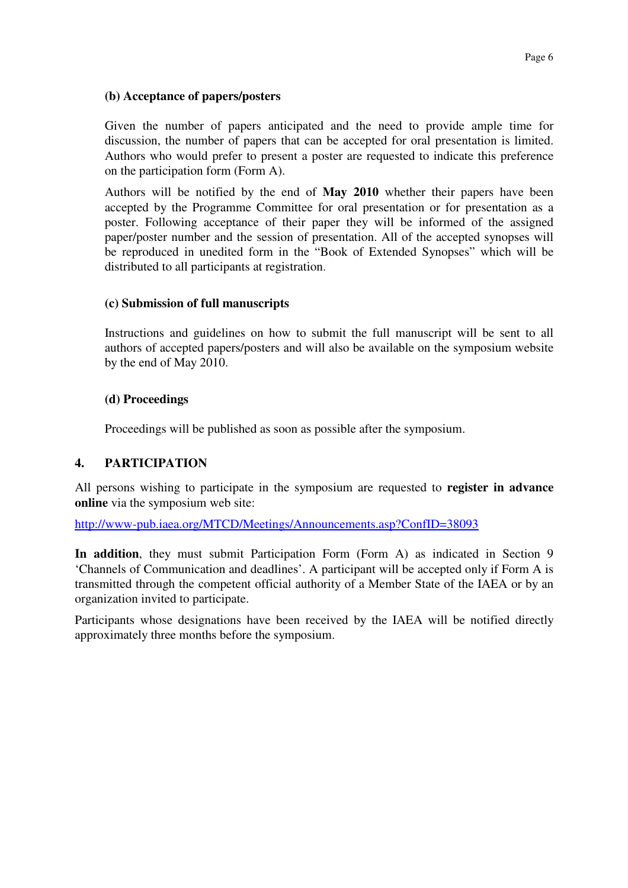#### **(b) Acceptance of papers/posters**

Given the number of papers anticipated and the need to provide ample time for discussion, the number of papers that can be accepted for oral presentation is limited. Authors who would prefer to present a poster are requested to indicate this preference on the participation form (Form A).

Authors will be notified by the end of **May 2010** whether their papers have been accepted by the Programme Committee for oral presentation or for presentation as a poster. Following acceptance of their paper they will be informed of the assigned paper/poster number and the session of presentation. All of the accepted synopses will be reproduced in unedited form in the "Book of Extended Synopses" which will be distributed to all participants at registration.

#### **(c) Submission of full manuscripts**

Instructions and guidelines on how to submit the full manuscript will be sent to all authors of accepted papers/posters and will also be available on the symposium website by the end of May 2010.

#### **(d) Proceedings**

Proceedings will be published as soon as possible after the symposium.

#### **4. PARTICIPATION**

All persons wishing to participate in the symposium are requested to **register in advance online** via the symposium web site:

http://www-pub.iaea.org/MTCD/Meetings/Announcements.asp?ConfID=38093

**In addition**, they must submit Participation Form (Form A) as indicated in Section 9 'Channels of Communication and deadlines'. A participant will be accepted only if Form A is transmitted through the competent official authority of a Member State of the IAEA or by an organization invited to participate.

Participants whose designations have been received by the IAEA will be notified directly approximately three months before the symposium.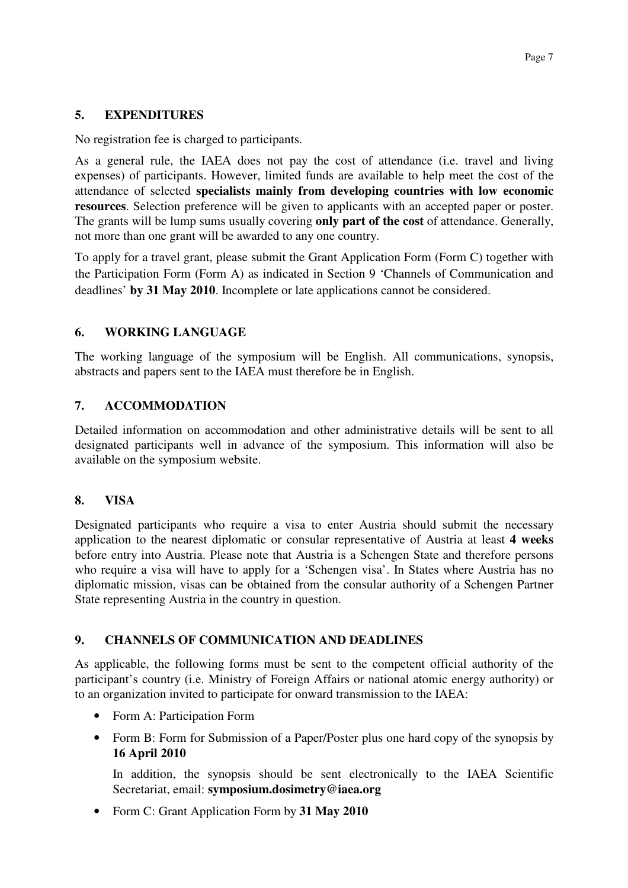#### **5. EXPENDITURES**

No registration fee is charged to participants.

As a general rule, the IAEA does not pay the cost of attendance (i.e. travel and living expenses) of participants. However, limited funds are available to help meet the cost of the attendance of selected **specialists mainly from developing countries with low economic resources**. Selection preference will be given to applicants with an accepted paper or poster. The grants will be lump sums usually covering **only part of the cost** of attendance. Generally, not more than one grant will be awarded to any one country.

To apply for a travel grant, please submit the Grant Application Form (Form C) together with the Participation Form (Form A) as indicated in Section 9 'Channels of Communication and deadlines' **by 31 May 2010**. Incomplete or late applications cannot be considered.

## **6. WORKING LANGUAGE**

The working language of the symposium will be English. All communications, synopsis, abstracts and papers sent to the IAEA must therefore be in English.

## **7. ACCOMMODATION**

Detailed information on accommodation and other administrative details will be sent to all designated participants well in advance of the symposium. This information will also be available on the symposium website.

#### **8. VISA**

Designated participants who require a visa to enter Austria should submit the necessary application to the nearest diplomatic or consular representative of Austria at least **4 weeks** before entry into Austria. Please note that Austria is a Schengen State and therefore persons who require a visa will have to apply for a 'Schengen visa'. In States where Austria has no diplomatic mission, visas can be obtained from the consular authority of a Schengen Partner State representing Austria in the country in question.

#### **9. CHANNELS OF COMMUNICATION AND DEADLINES**

As applicable, the following forms must be sent to the competent official authority of the participant's country (i.e. Ministry of Foreign Affairs or national atomic energy authority) or to an organization invited to participate for onward transmission to the IAEA:

- Form A: Participation Form
- Form B: Form for Submission of a Paper/Poster plus one hard copy of the synopsis by **16 April 2010**

In addition, the synopsis should be sent electronically to the IAEA Scientific Secretariat, email: **symposium.dosimetry@iaea.org**

• Form C: Grant Application Form by **31 May 2010**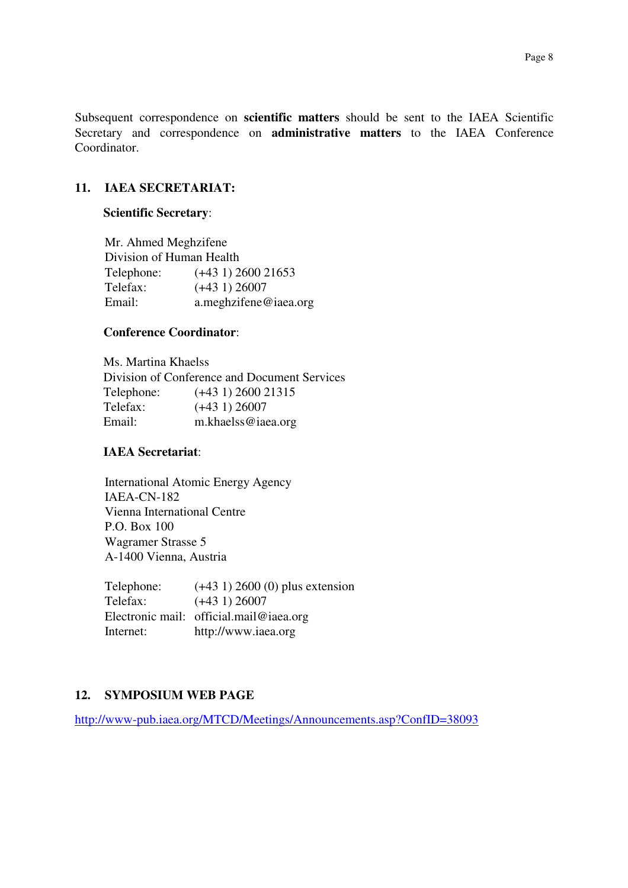Subsequent correspondence on **scientific matters** should be sent to the IAEA Scientific Secretary and correspondence on **administrative matters** to the IAEA Conference Coordinator.

#### **11. IAEA SECRETARIAT:**

#### **Scientific Secretary**:

Mr. Ahmed Meghzifene Division of Human Health Telephone: (+43 1) 2600 21653 Telefax: (+43 1) 26007 Email: a.meghzifene@iaea.org

#### **Conference Coordinator**:

 Ms. Martina Khaelss Division of Conference and Document Services Telephone: (+43 1) 2600 21315 Telefax: (+43 1) 26007 Email: m.khaelss@iaea.org

#### **IAEA Secretariat**:

International Atomic Energy Agency IAEA-CN-182 Vienna International Centre P.O. Box 100 Wagramer Strasse 5 A-1400 Vienna, Austria

Telephone:  $(+43\ 1)\ 2600\ (0)$  plus extension Telefax: (+43 1) 26007 Electronic mail: official.mail@iaea.org Internet: http://www.iaea.org

#### **12. SYMPOSIUM WEB PAGE**

http://www-pub.iaea.org/MTCD/Meetings/Announcements.asp?ConfID=38093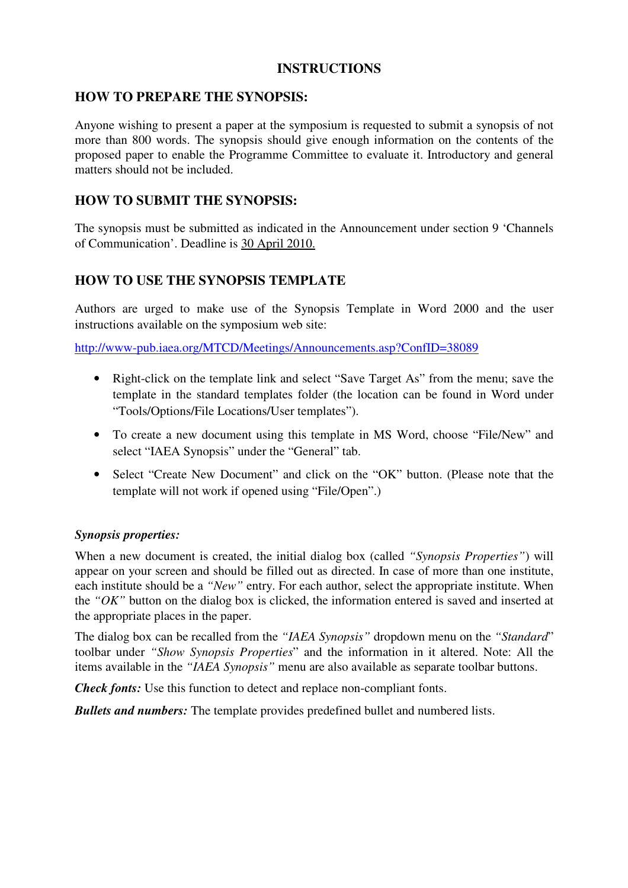## **INSTRUCTIONS**

#### **HOW TO PREPARE THE SYNOPSIS:**

Anyone wishing to present a paper at the symposium is requested to submit a synopsis of not more than 800 words. The synopsis should give enough information on the contents of the proposed paper to enable the Programme Committee to evaluate it. Introductory and general matters should not be included.

## **HOW TO SUBMIT THE SYNOPSIS:**

The synopsis must be submitted as indicated in the Announcement under section 9 'Channels of Communication'. Deadline is 30 April 2010.

## **HOW TO USE THE SYNOPSIS TEMPLATE**

Authors are urged to make use of the Synopsis Template in Word 2000 and the user instructions available on the symposium web site:

http://www-pub.iaea.org/MTCD/Meetings/Announcements.asp?ConfID=38089

- Right-click on the template link and select "Save Target As" from the menu; save the template in the standard templates folder (the location can be found in Word under "Tools/Options/File Locations/User templates").
- To create a new document using this template in MS Word, choose "File/New" and select "IAEA Synopsis" under the "General" tab.
- Select "Create New Document" and click on the "OK" button. (Please note that the template will not work if opened using "File/Open".)

#### *Synopsis properties:*

When a new document is created, the initial dialog box (called *"Synopsis Properties"*) will appear on your screen and should be filled out as directed. In case of more than one institute, each institute should be a *"New"* entry. For each author, select the appropriate institute. When the *"OK"* button on the dialog box is clicked, the information entered is saved and inserted at the appropriate places in the paper.

The dialog box can be recalled from the *"IAEA Synopsis"* dropdown menu on the *"Standard*" toolbar under *"Show Synopsis Properties*" and the information in it altered. Note: All the items available in the *"IAEA Synopsis"* menu are also available as separate toolbar buttons.

*Check fonts:* Use this function to detect and replace non-compliant fonts.

*Bullets and numbers:* The template provides predefined bullet and numbered lists.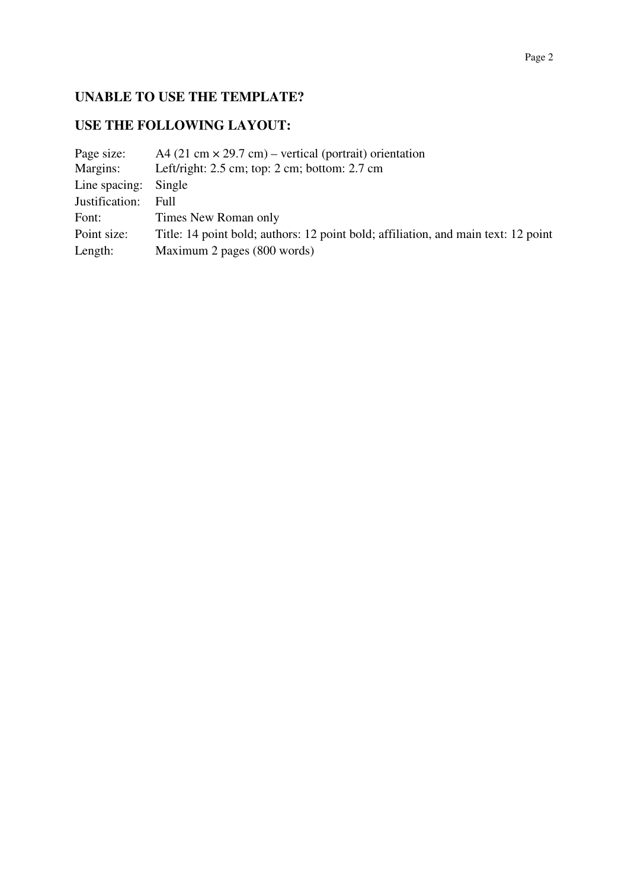# **UNABLE TO USE THE TEMPLATE?**

# **USE THE FOLLOWING LAYOUT:**

| Page size:     | A4 (21 cm $\times$ 29.7 cm) – vertical (portrait) orientation                      |
|----------------|------------------------------------------------------------------------------------|
| Margins:       | Left/right: $2.5$ cm; top: $2 \text{ cm}$ ; bottom: $2.7 \text{ cm}$               |
| Line spacing:  | Single                                                                             |
| Justification: | Full                                                                               |
| Font:          | Times New Roman only                                                               |
| Point size:    | Title: 14 point bold; authors: 12 point bold; affiliation, and main text: 12 point |
| Length:        | Maximum 2 pages (800 words)                                                        |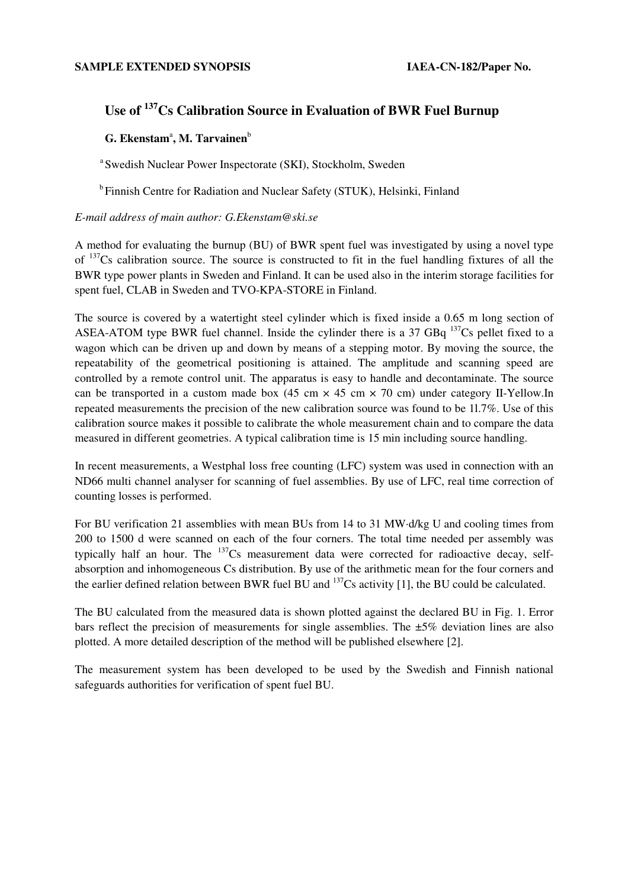## **Use of <sup>137</sup>Cs Calibration Source in Evaluation of BWR Fuel Burnup**

#### **G. Ekenstam<sup>a</sup>, M. Tarvainen**b

a Swedish Nuclear Power Inspectorate (SKI), Stockholm, Sweden

<sup>b</sup> Finnish Centre for Radiation and Nuclear Safety (STUK), Helsinki, Finland

#### *E-mail address of main author: G.Ekenstam@ski.se*

A method for evaluating the burnup (BU) of BWR spent fuel was investigated by using a novel type of <sup>137</sup>Cs calibration source. The source is constructed to fit in the fuel handling fixtures of all the BWR type power plants in Sweden and Finland. It can be used also in the interim storage facilities for spent fuel, CLAB in Sweden and TVO-KPA-STORE in Finland.

The source is covered by a watertight steel cylinder which is fixed inside a 0.65 m long section of ASEA-ATOM type BWR fuel channel. Inside the cylinder there is a 37 GBq  $^{137}Cs$  pellet fixed to a wagon which can be driven up and down by means of a stepping motor. By moving the source, the repeatability of the geometrical positioning is attained. The amplitude and scanning speed are controlled by a remote control unit. The apparatus is easy to handle and decontaminate. The source can be transported in a custom made box (45 cm  $\times$  45 cm  $\times$  70 cm) under category II-Yellow.In repeated measurements the precision of the new calibration source was found to be 1l.7%. Use of this calibration source makes it possible to calibrate the whole measurement chain and to compare the data measured in different geometries. A typical calibration time is 15 min including source handling.

In recent measurements, a Westphal loss free counting (LFC) system was used in connection with an ND66 multi channel analyser for scanning of fuel assemblies. By use of LFC, real time correction of counting losses is performed.

For BU verification 21 assemblies with mean BUs from 14 to 31 MW·d/kg U and cooling times from 200 to 1500 d were scanned on each of the four corners. The total time needed per assembly was typically half an hour. The  $137Cs$  measurement data were corrected for radioactive decay, selfabsorption and inhomogeneous Cs distribution. By use of the arithmetic mean for the four corners and the earlier defined relation between BWR fuel BU and <sup>137</sup>Cs activity [1], the BU could be calculated.

The BU calculated from the measured data is shown plotted against the declared BU in Fig. 1. Error bars reflect the precision of measurements for single assemblies. The ±5% deviation lines are also plotted. A more detailed description of the method will be published elsewhere [2].

The measurement system has been developed to be used by the Swedish and Finnish national safeguards authorities for verification of spent fuel BU.